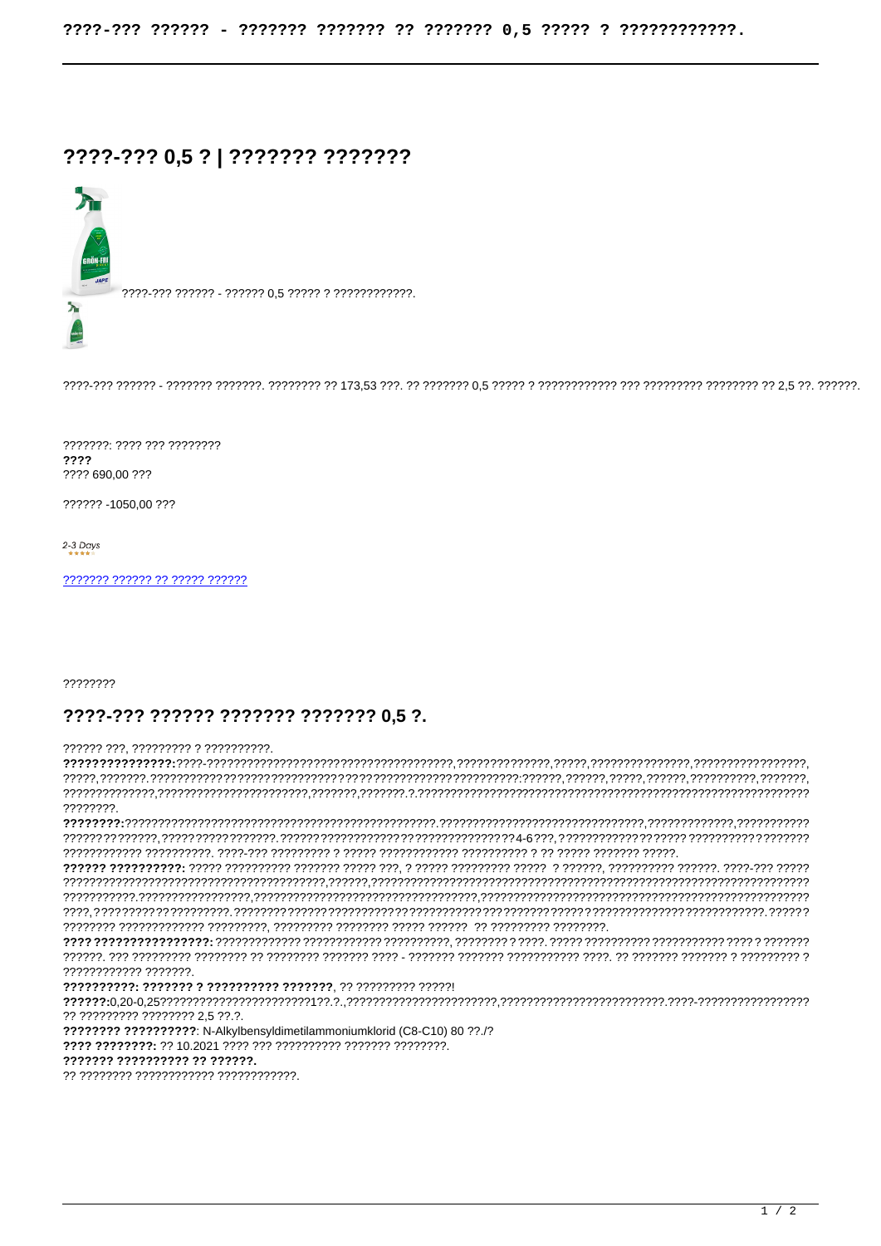## ????-??? 0,5 ? | ??????? ???????



7777-777 777777 - 777777 0.5 77777 7 777777777777.

???????: ???? ??? ???????? ???? ???? 690.00 ???

?????? -1050.00 ???

2-3 Days

22222222

## ????-??? ?????? ??????? ??????? 0.5 ?.

## 777777 777 777777777 7 7777777777

22222222 ???????????? ???????. ?? ????????? ???????? 2,5 ??.?. ???????? ?????????? N-Alkylbensyldimetilammoniumklorid (C8-C10) 80 ??./? ??????? ?????????? ?? ??????. ?? ???????? ???????????? ?????????????